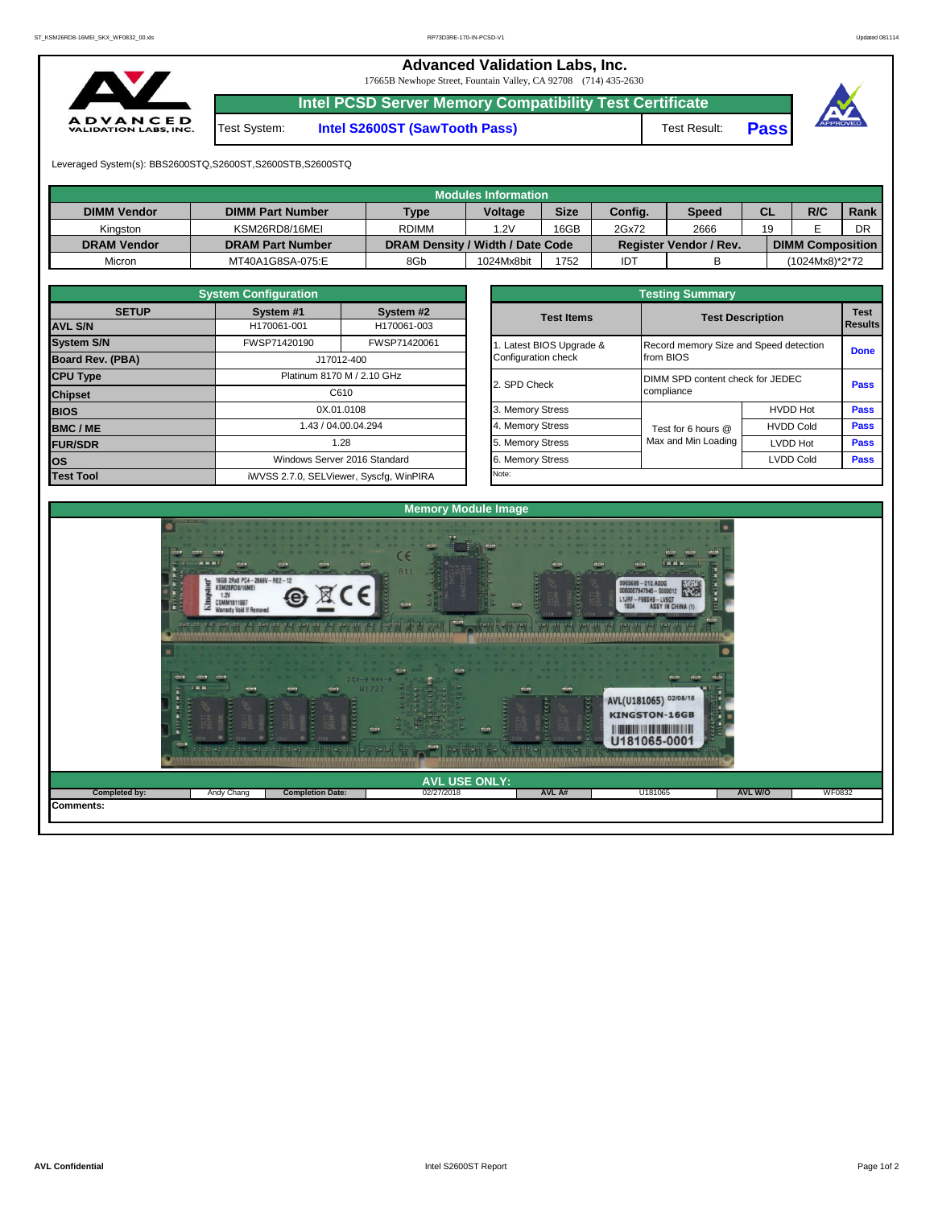**Advanced Validation Labs, Inc.** 

17665B Newhope Street, Fountain Valley, CA 92708 (714) 435-2630



**Intel PCSD Server Memory Compatibility Test Certificate**

Test System: **Intel S2600ST (SawTooth Pass)** Test Result: **Pass**





Leveraged System(s): BBS2600STQ,S2600ST,S2600STB,S2600STQ

|                    |                         |                                  | Modules Information |             |         |                               |           |                         |      |
|--------------------|-------------------------|----------------------------------|---------------------|-------------|---------|-------------------------------|-----------|-------------------------|------|
| <b>DIMM Vendor</b> | <b>DIMM Part Number</b> | <b>Type</b>                      | <b>Voltage</b>      | <b>Size</b> | Config. | <b>Speed</b>                  | <b>CL</b> | R/C                     | Rank |
| Kinaston           | KSM26RD8/16MEI          | <b>RDIMM</b>                     | 1.2V                | 16GB        | 2Gx72   | 2666                          | 19        |                         | DR   |
| <b>DRAM Vendor</b> | <b>DRAM Part Number</b> | DRAM Density / Width / Date Code |                     |             |         | <b>Register Vendor / Rev.</b> |           | <b>DIMM Composition</b> |      |
| Micron             | MT40A1G8SA-075:E        | 8Gb                              | 1024Mx8bit          | 1752        | IDT     |                               |           | (1024Mx8)*2*72          |      |

|                                       | <b>System Configuration</b> |                                         | <b>Testing Summary</b>   |                                        |                         |                  |  |  |  |  |  |
|---------------------------------------|-----------------------------|-----------------------------------------|--------------------------|----------------------------------------|-------------------------|------------------|--|--|--|--|--|
| <b>SETUP</b>                          | System #1                   | System #2                               | <b>Test Items</b>        |                                        | <b>Test Description</b> | <b>Test</b>      |  |  |  |  |  |
| <b>AVL S/N</b>                        | H170061-001                 | H170061-003                             |                          |                                        |                         | <b>I</b> Results |  |  |  |  |  |
| <b>System S/N</b>                     | FWSP71420190                | FWSP71420061                            | 1. Latest BIOS Upgrade & | Record memory Size and Speed detection |                         | <b>Done</b>      |  |  |  |  |  |
| <b>Board Rev. (PBA)</b><br>J17012-400 |                             | Configuration check                     | from BIOS                |                                        |                         |                  |  |  |  |  |  |
| <b>CPU Type</b>                       |                             | Platinum 8170 M / 2.10 GHz              | 2. SPD Check             | DIMM SPD content check for JEDEC       |                         | <b>Pass</b>      |  |  |  |  |  |
| <b>Chipset</b>                        |                             | C610                                    |                          | compliance                             |                         |                  |  |  |  |  |  |
| <b>BIOS</b>                           |                             | 0X.01.0108                              | 3. Memory Stress         |                                        | <b>HVDD Hot</b>         | Pass             |  |  |  |  |  |
| <b>BMC/ME</b>                         |                             | 1.43 / 04.00.04.294                     | 4. Memory Stress         | Test for 6 hours @                     | <b>HVDD Cold</b>        | <b>Pass</b>      |  |  |  |  |  |
| <b>FUR/SDR</b>                        |                             | 1.28                                    | 5. Memory Stress         | Max and Min Loading                    | <b>LVDD Hot</b>         | <b>Pass</b>      |  |  |  |  |  |
| los                                   |                             | Windows Server 2016 Standard            | 6. Memory Stress         |                                        | <b>LVDD Cold</b>        | <b>Pass</b>      |  |  |  |  |  |
| <b>Test Tool</b>                      |                             | iWVSS 2.7.0, SELViewer, Syscfg, WinPIRA | Note:                    |                                        |                         |                  |  |  |  |  |  |

| <b>System Configuration</b> |              |                                    | <b>Testing Summary</b> |                                  |                                        |                |  |  |  |  |
|-----------------------------|--------------|------------------------------------|------------------------|----------------------------------|----------------------------------------|----------------|--|--|--|--|
| <b>SETUP</b>                | System #1    | System #2                          | <b>Test Items</b>      | <b>Test Description</b>          | <b>Test</b>                            |                |  |  |  |  |
|                             | H170061-001  | H170061-003                        |                        |                                  |                                        | <b>Results</b> |  |  |  |  |
|                             | FWSP71420190 | FWSP71420061                       | Latest BIOS Upgrade &  |                                  | Record memory Size and Speed detection |                |  |  |  |  |
| PBA)                        |              | J17012-400                         | Configuration check    | from BIOS                        |                                        | <b>Done</b>    |  |  |  |  |
|                             |              | Platinum 8170 M / 2.10 GHz         | 2. SPD Check           | DIMM SPD content check for JEDEC |                                        |                |  |  |  |  |
|                             |              | C610                               |                        | compliance                       |                                        | Pass           |  |  |  |  |
|                             |              | 0X.01.0108                         | 3. Memory Stress       |                                  | <b>HVDD Hot</b>                        | Pass           |  |  |  |  |
|                             |              | 1.43 / 04.00.04.294                | 4. Memory Stress       | Test for 6 hours @               | <b>HVDD Cold</b>                       | Pass           |  |  |  |  |
|                             |              | 1.28                               | 5. Memory Stress       | Max and Min Loading              | LVDD Hot                               | Pass           |  |  |  |  |
|                             |              | Windows Server 2016 Standard       |                        |                                  | <b>LVDD Cold</b>                       |                |  |  |  |  |
|                             |              | iMVSS 270 SELViewer Svecta WinPIRA | Note:                  |                                  |                                        |                |  |  |  |  |